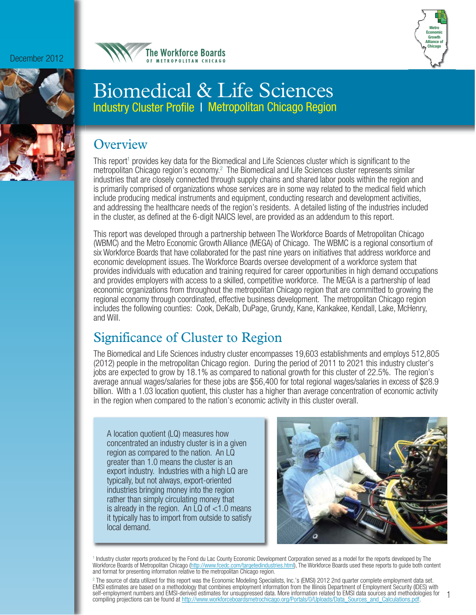



# Biomedical & Life Sciences Industry Cluster Profile I Metropolitan Chicago Region

## **Overview**

This report<sup>1</sup> provides key data for the Biomedical and Life Sciences cluster which is significant to the metropolitan Chicago region's economy.<sup>2</sup> The Biomedical and Life Sciences cluster represents similar industries that are closely connected through supply chains and shared labor pools within the region and is primarily comprised of organizations whose services are in some way related to the medical field which include producing medical instruments and equipment, conducting research and development activities, and addressing the healthcare needs of the region's residents. A detailed listing of the industries included in the cluster, as defined at the 6-digit NAICS level, are provided as an addendum to this report.

This report was developed through a partnership between The Workforce Boards of Metropolitan Chicago (WBMC) and the Metro Economic Growth Alliance (MEGA) of Chicago. The WBMC is a regional consortium of six Workforce Boards that have collaborated for the past nine years on initiatives that address workforce and economic development issues. The Workforce Boards oversee development of a workforce system that provides individuals with education and training required for career opportunities in high demand occupations and provides employers with access to a skilled, competitive workforce. The MEGA is a partnership of lead economic organizations from throughout the metropolitan Chicago region that are committed to growing the regional economy through coordinated, effective business development. The metropolitan Chicago region includes the following counties: Cook, DeKalb, DuPage, Grundy, Kane, Kankakee, Kendall, Lake, McHenry, and Will.

# Significance of Cluster to Region

The Biomedical and Life Sciences industry cluster encompasses 19,603 establishments and employs 512,805 (2012) people in the metropolitan Chicago region. During the period of 2011 to 2021 this industry cluster's jobs are expected to grow by 18.1% as compared to national growth for this cluster of 22.5%. The region's average annual wages/salaries for these jobs are \$56,400 for total regional wages/salaries in excess of \$28.9 billion. With a 1.03 location quotient, this cluster has a higher than average concentration of economic activity in the region when compared to the nation's economic activity in this cluster overall.

A location quotient (LQ) measures how concentrated an industry cluster is in a given region as compared to the nation. An LQ greater than 1.0 means the cluster is an export industry. Industries with a high LQ are typically, but not always, export-oriented industries bringing money into the region rather than simply circulating money that is already in the region. An LQ of <1.0 means it typically has to import from outside to satisfy local demand.



<sup>1</sup> Industry cluster reports produced by the Fond du Lac County Economic Development Corporation served as a model for the reports developed by The Workforce Boards of Metropolitan Chicago (http://www.fcedc.com/targetedindustries.html), The Workforce Boards used these reports to guide both content and format for presenting information relative to the metropolitan Chicago region.

<sup>2</sup> The source of data utilized for this report was the Economic Modeling Specialists, Inc.'s (EMSI) 2012 2nd quarter complete employment data set. EMSI estimates are based on a methodology that combines employment information from the Illinois Department of Employment Security (IDES) with self-employment numbers and EMSI-derived estimates for unsuppressed data. More information related to EMSI data sources and methodologies for<br>compiling projections can be found at http://www.workforcehoardsmetrochicago.org compiling projections can be found at http://www.workforceboardsmetrochicago.org/Portals/0/Uploads/Data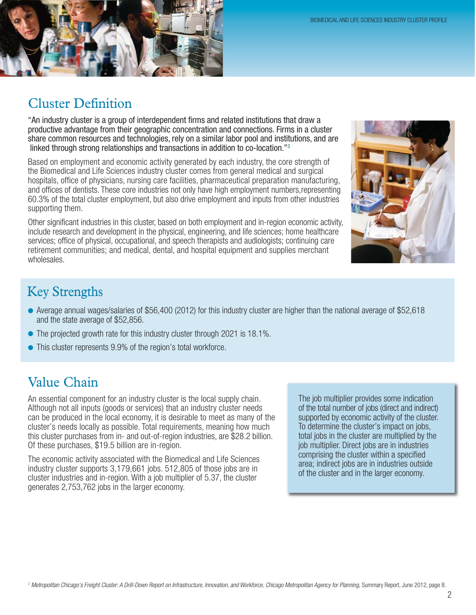

# Cluster Definition

"An industry cluster is a group of interdependent firms and related institutions that draw a productive advantage from their geographic concentration and connections. Firms in a cluster share common resources and technologies, rely on a similar labor pool and institutions, and are linked through strong relationships and transactions in addition to co-location."3

Based on employment and economic activity generated by each industry, the core strength of the Biomedical and Life Sciences industry cluster comes from general medical and surgical hospitals, office of physicians, nursing care facilities, pharmaceutical preparation manufacturing, and offices of dentists. These core industries not only have high employment numbers,representing 60.3% of the total cluster employment, but also drive employment and inputs from other industries supporting them.

Other significant industries in this cluster, based on both employment and in-region economic activity, include research and development in the physical, engineering, and life sciences; home healthcare services; office of physical, occupational, and speech therapists and audiologists; continuing care retirement communities; and medical, dental, and hospital equipment and supplies merchant wholesales.



# Key Strengths

- Average annual wages/salaries of \$56,400 (2012) for this industry cluster are higher than the national average of \$52,618 and the state average of \$52,856.
- The projected growth rate for this industry cluster through 2021 is 18.1%.
- This cluster represents 9.9% of the region's total workforce.

# Value Chain

An essential component for an industry cluster is the local supply chain. Although not all inputs (goods or services) that an industry cluster needs can be produced in the local economy, it is desirable to meet as many of the cluster's needs locally as possible. Total requirements, meaning how much this cluster purchases from in- and out-of-region industries, are \$28.2 billion. Of these purchases, \$19.5 billion are in-region.

The economic activity associated with the Biomedical and Life Sciences industry cluster supports 3,179,661 jobs. 512,805 of those jobs are in cluster industries and in-region. With a job multiplier of 5.37, the cluster generates 2,753,762 jobs in the larger economy.

The job multiplier provides some indication of the total number of jobs (direct and indirect) supported by economic activity of the cluster. To determine the cluster's impact on jobs, total jobs in the cluster are multiplied by the job multiplier. Direct jobs are in industries comprising the cluster within a specified area; indirect jobs are in industries outside of the cluster and in the larger economy.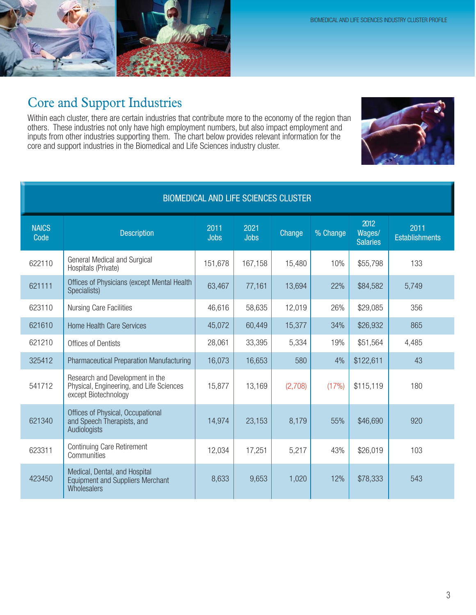

## Core and Support Industries

Within each cluster, there are certain industries that contribute more to the economy of the region than others. These industries not only have high employment numbers, but also impact employment and inputs from other industries supporting them. The chart below provides relevant information for the core and support industries in the Biomedical and Life Sciences industry cluster.



| <b>BIOMEDICAL AND LIFE SCIENCES CLUSTER</b> |                                                                                                     |                     |                     |         |          |                                   |                               |
|---------------------------------------------|-----------------------------------------------------------------------------------------------------|---------------------|---------------------|---------|----------|-----------------------------------|-------------------------------|
| <b>NAICS</b><br>Code                        | <b>Description</b>                                                                                  | 2011<br><b>Jobs</b> | 2021<br><b>Jobs</b> | Change  | % Change | 2012<br>Wages/<br><b>Salaries</b> | 2011<br><b>Establishments</b> |
| 622110                                      | General Medical and Surgical<br>Hospitals (Private)                                                 | 151,678             | 167,158             | 15,480  | 10%      | \$55,798                          | 133                           |
| 621111                                      | Offices of Physicians (except Mental Health<br>Specialists)                                         | 63,467              | 77,161              | 13,694  | 22%      | \$84,582                          | 5,749                         |
| 623110                                      | <b>Nursing Care Facilities</b>                                                                      | 46,616              | 58,635              | 12,019  | 26%      | \$29,085                          | 356                           |
| 621610                                      | Home Health Care Services                                                                           | 45,072              | 60,449              | 15,377  | 34%      | \$26,932                          | 865                           |
| 621210                                      | <b>Offices of Dentists</b>                                                                          | 28,061              | 33,395              | 5,334   | 19%      | \$51,564                          | 4,485                         |
| 325412                                      | <b>Pharmaceutical Preparation Manufacturing</b>                                                     | 16,073              | 16,653              | 580     | 4%       | \$122,611                         | 43                            |
| 541712                                      | Research and Development in the<br>Physical, Engineering, and Life Sciences<br>except Biotechnology | 15,877              | 13,169              | (2,708) | (17%)    | \$115,119                         | 180                           |
| 621340                                      | Offices of Physical, Occupational<br>and Speech Therapists, and<br>Audiologists                     | 14,974              | 23,153              | 8,179   | 55%      | \$46,690                          | 920                           |
| 623311                                      | <b>Continuing Care Retirement</b><br>Communities                                                    | 12,034              | 17,251              | 5,217   | 43%      | \$26,019                          | 103                           |
| 423450                                      | Medical, Dental, and Hospital<br><b>Equipment and Suppliers Merchant</b><br>Wholesalers             | 8,633               | 9,653               | 1,020   | 12%      | \$78,333                          | 543                           |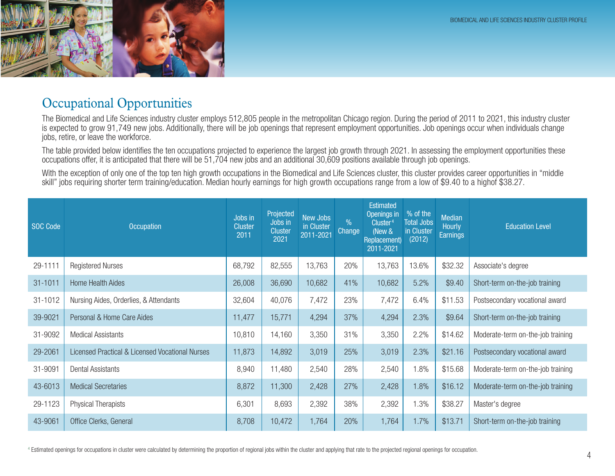

## Occupational Opportunities

The Biomedical and Life Sciences industry cluster employs 512,805 people in the metropolitan Chicago region. During the period of 2011 to 2021, this industry cluster is expected to grow 91,749 new jobs. Additionally, there will be job openings that represent employment opportunities. Job openings occur when individuals change jobs, retire, or leave the workforce.

The table provided below identifies the ten occupations projected to experience the largest job growth through 2021. In assessing the employment opportunities these occupations offer, it is anticipated that there will be 51,704 new jobs and an additional 30,609 positions available through job openings.

With the exception of only one of the top ten high growth occupations in the Biomedical and Life Sciences cluster, this cluster provides career opportunities in "middle skill" jobs requiring shorter term training/education. Median hourly earnings for high growth occupations range from a low of \$9.40 to a highof \$38.27.

| <b>SOC Code</b> | <b>Occupation</b>                               | Jobs in<br><b>Cluster</b><br>2011 | Projected<br>Jobs in<br><b>Cluster</b><br>2021 | <b>New Jobs</b><br>in Cluster<br>2011-2021 | $\%$<br><b>Change</b> | Estimated<br>Openings in<br>Cluster <sup>4</sup><br>(New &<br>Replacement)<br>2011-2021 | % of the<br><b>Total Jobs</b><br>in Cluster<br>(2012) | <b>Median</b><br>Hourly<br>Earnings | <b>Education Level</b>            |
|-----------------|-------------------------------------------------|-----------------------------------|------------------------------------------------|--------------------------------------------|-----------------------|-----------------------------------------------------------------------------------------|-------------------------------------------------------|-------------------------------------|-----------------------------------|
| 29-1111         | <b>Registered Nurses</b>                        | 68,792                            | 82,555                                         | 13,763                                     | 20%                   | 13,763                                                                                  | 13.6%                                                 | \$32.32                             | Associate's degree                |
| $31 - 1011$     | Home Health Aides                               | 26,008                            | 36,690                                         | 10,682                                     | 41%                   | 10,682                                                                                  | 5.2%                                                  | \$9.40                              | Short-term on-the-job training    |
| 31-1012         | Nursing Aides, Orderlies, & Attendants          | 32,604                            | 40,076                                         | 7,472                                      | 23%                   | 7,472                                                                                   | 6.4%                                                  | \$11.53                             | Postsecondary vocational award    |
| 39-9021         | Personal & Home Care Aides                      | 11,477                            | 15,771                                         | 4,294                                      | 37%                   | 4,294                                                                                   | 2.3%                                                  | \$9.64                              | Short-term on-the-job training    |
| 31-9092         | <b>Medical Assistants</b>                       | 10,810                            | 14,160                                         | 3,350                                      | 31%                   | 3,350                                                                                   | 2.2%                                                  | \$14.62                             | Moderate-term on-the-job training |
| 29-2061         | Licensed Practical & Licensed Vocational Nurses | 11,873                            | 14,892                                         | 3,019                                      | 25%                   | 3,019                                                                                   | 2.3%                                                  | \$21.16                             | Postsecondary vocational award    |
| 31-9091         | <b>Dental Assistants</b>                        | 8,940                             | 11,480                                         | 2,540                                      | 28%                   | 2,540                                                                                   | 1.8%                                                  | \$15.68                             | Moderate-term on-the-job training |
| 43-6013         | <b>Medical Secretaries</b>                      | 8,872                             | 11,300                                         | 2,428                                      | 27%                   | 2,428                                                                                   | 1.8%                                                  | \$16.12                             | Moderate-term on-the-job training |
| 29-1123         | <b>Physical Therapists</b>                      | 6,301                             | 8,693                                          | 2,392                                      | 38%                   | 2,392                                                                                   | 1.3%                                                  | \$38.27                             | Master's degree                   |
| 43-9061         | Office Clerks, General                          | 8,708                             | 10,472                                         | 1,764                                      | 20%                   | 1,764                                                                                   | 1.7%                                                  | \$13.71                             | Short-term on-the-job training    |

<sup>4</sup> Estimated openings for occupations in cluster were calculated by determining the proportion of regional jobs within the cluster and applying that rate to the projected regional openings for occupation.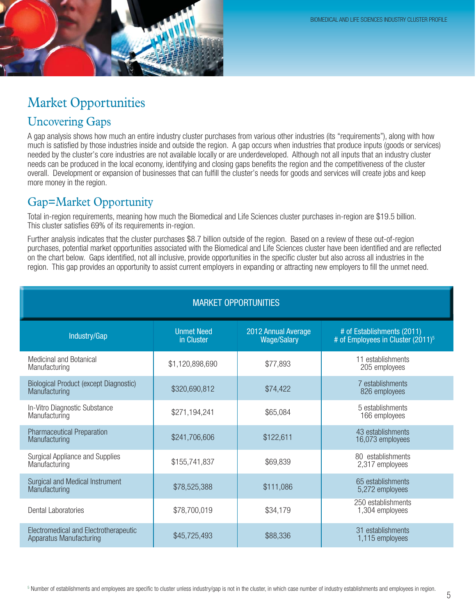

# Market Opportunities

### Uncovering Gaps

A gap analysis shows how much an entire industry cluster purchases from various other industries (its "requirements"), along with how much is satisfied by those industries inside and outside the region. A gap occurs when industries that produce inputs (goods or services) needed by the cluster's core industries are not available locally or are underdeveloped. Although not all inputs that an industry cluster needs can be produced in the local economy, identifying and closing gaps benefits the region and the competitiveness of the cluster overall. Development or expansion of businesses that can fulfill the cluster's needs for goods and services will create jobs and keep more money in the region.

### Gap=Market Opportunity

Total in-region requirements, meaning how much the Biomedical and Life Sciences cluster purchases in-region are \$19.5 billion. This cluster satisfies 69% of its requirements in-region.

Further analysis indicates that the cluster purchases \$8.7 billion outside of the region. Based on a review of these out-of-region purchases, potential market opportunities associated with the Biomedical and Life Sciences cluster have been identified and are reflected on the chart below. Gaps identified, not all inclusive, provide opportunities in the specific cluster but also across all industries in the region. This gap provides an opportunity to assist current employers in expanding or attracting new employers to fill the unmet need.

| <b>MARKET OPPORTUNITIES</b>                                             |                                 |                                           |                                                                             |  |  |  |
|-------------------------------------------------------------------------|---------------------------------|-------------------------------------------|-----------------------------------------------------------------------------|--|--|--|
| Industry/Gap                                                            | <b>Unmet Need</b><br>in Cluster | 2012 Annual Average<br><b>Wage/Salary</b> | # of Establishments (2011)<br># of Employees in Cluster (2011) <sup>5</sup> |  |  |  |
| Medicinal and Botanical<br>Manufacturing                                | \$1,120,898,690                 | \$77,893                                  | 11 establishments<br>205 employees                                          |  |  |  |
| <b>Biological Product (except Diagnostic)</b><br>Manufacturing          | \$320,690,812                   | \$74,422                                  | 7 establishments<br>826 employees                                           |  |  |  |
| In-Vitro Diagnostic Substance<br>Manufacturing                          | \$271,194,241                   | \$65,084                                  | 5 establishments<br>166 employees                                           |  |  |  |
| <b>Pharmaceutical Preparation</b><br>Manufacturing                      | \$241,706,606                   | \$122,611                                 | 43 establishments<br>16,073 employees                                       |  |  |  |
| Surgical Appliance and Supplies<br>Manufacturing                        | \$155,741,837                   | \$69,839                                  | 80 establishments<br>2,317 employees                                        |  |  |  |
| <b>Surgical and Medical Instrument</b><br>Manufacturing                 | \$78,525,388                    | \$111,086                                 | 65 establishments<br>5,272 employees                                        |  |  |  |
| Dental Laboratories                                                     | \$78,700,019                    | \$34,179                                  | 250 establishments<br>1,304 employees                                       |  |  |  |
| Electromedical and Electrotherapeutic<br><b>Apparatus Manufacturing</b> | \$45,725,493                    | \$88,336                                  | 31 establishments<br>1,115 employees                                        |  |  |  |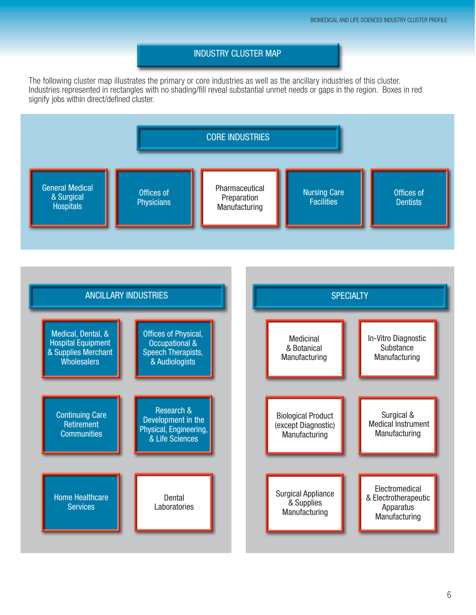### INDUSTRY CLUSTER MAP

The following cluster map illustrates the primary or core industries as well as the ancillary industries of this cluster. Industries represented in rectangles with no shading/fill reveal substantial unmet needs or gaps in the region. Boxes in red signify jobs within direct/defined cluster.



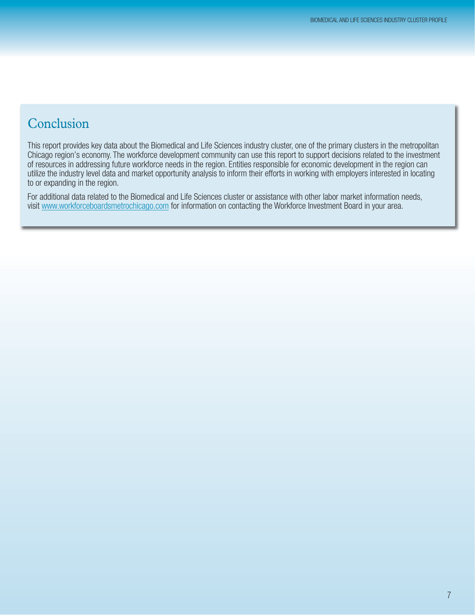## Conclusion

This report provides key data about the Biomedical and Life Sciences industry cluster, one of the primary clusters in the metropolitan Chicago region's economy. The workforce development community can use this report to support decisions related to the investment of resources in addressing future workforce needs in the region. Entities responsible for economic development in the region can utilize the industry level data and market opportunity analysis to inform their efforts in working with employers interested in locating to or expanding in the region.

For additional data related to the Biomedical and Life Sciences cluster or assistance with other labor market information needs, visit www.workforceboardsmetrochicago.com for information on contacting the Workforce Investment Board in your area.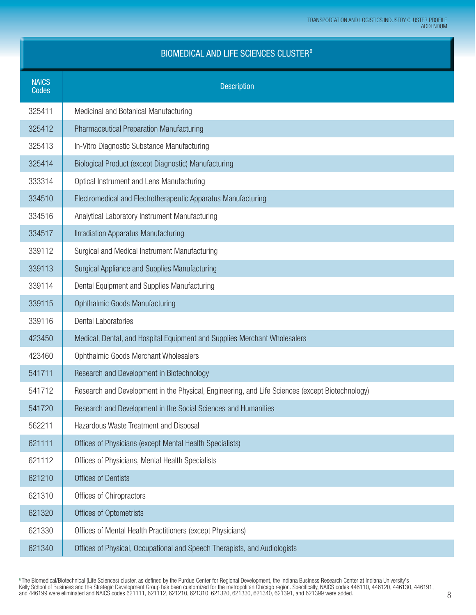### BIOMEDICAL AND LIFE SCIENCES CLUSTER<sup>6</sup>

| <b>NAICS</b><br><b>Codes</b> | <b>Description</b>                                                                              |
|------------------------------|-------------------------------------------------------------------------------------------------|
| 325411                       | Medicinal and Botanical Manufacturing                                                           |
| 325412                       | <b>Pharmaceutical Preparation Manufacturing</b>                                                 |
| 325413                       | In-Vitro Diagnostic Substance Manufacturing                                                     |
| 325414                       | Biological Product (except Diagnostic) Manufacturing                                            |
| 333314                       | Optical Instrument and Lens Manufacturing                                                       |
| 334510                       | Electromedical and Electrotherapeutic Apparatus Manufacturing                                   |
| 334516                       | Analytical Laboratory Instrument Manufacturing                                                  |
| 334517                       | <b>Ilrradiation Apparatus Manufacturing</b>                                                     |
| 339112                       | Surgical and Medical Instrument Manufacturing                                                   |
| 339113                       | Surgical Appliance and Supplies Manufacturing                                                   |
| 339114                       | Dental Equipment and Supplies Manufacturing                                                     |
| 339115                       | <b>Ophthalmic Goods Manufacturing</b>                                                           |
| 339116                       | <b>Dental Laboratories</b>                                                                      |
| 423450                       | Medical, Dental, and Hospital Equipment and Supplies Merchant Wholesalers                       |
| 423460                       | Ophthalmic Goods Merchant Wholesalers                                                           |
| 541711                       | Research and Development in Biotechnology                                                       |
| 541712                       | Research and Development in the Physical, Engineering, and Life Sciences (except Biotechnology) |
| 541720                       | Research and Development in the Social Sciences and Humanities                                  |
| 562211                       | Hazardous Waste Treatment and Disposal                                                          |
| 621111                       | Offices of Physicians (except Mental Health Specialists)                                        |
| 621112                       | Offices of Physicians, Mental Health Specialists                                                |
| 621210                       | <b>Offices of Dentists</b>                                                                      |
| 621310                       | Offices of Chiropractors                                                                        |
| 621320                       | Offices of Optometrists                                                                         |
| 621330                       | Offices of Mental Health Practitioners (except Physicians)                                      |
| 621340                       | Offices of Physical, Occupational and Speech Therapists, and Audiologists                       |

<sup>6</sup> The Biomedical/Biotechnical (Life Sciences) cluster, as defined by the Purdue Center for Regional Development, the Indiana Business Research Center at Indiana University's Kelly School of Business and the Strategic Development Group has been customized for the metropolitan Chicago region. Specifically, NAICS codes 446110, 446120, 446130, 446191, and 446199 were eliminated and NAICS codes 621111, 621112, 621210, 621310, 621320, 621330, 621340, 621391, and 621399 were added.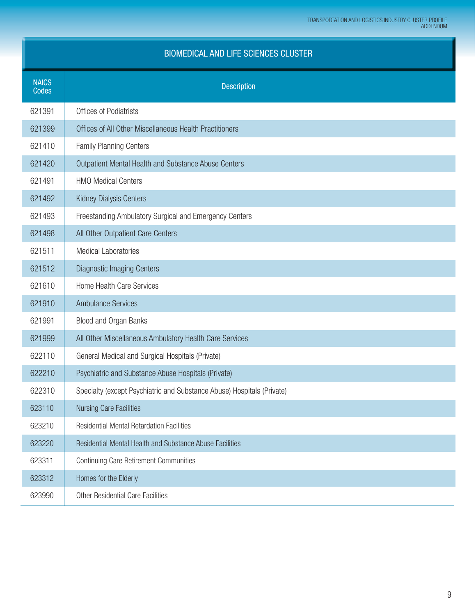### BIOMEDICAL AND LIFE SCIENCES CLUSTER

| <b>NAICS</b><br><b>Codes</b> | <b>Description</b>                                                     |
|------------------------------|------------------------------------------------------------------------|
| 621391                       | <b>Offices of Podiatrists</b>                                          |
| 621399                       | Offices of All Other Miscellaneous Health Practitioners                |
| 621410                       | <b>Family Planning Centers</b>                                         |
| 621420                       | Outpatient Mental Health and Substance Abuse Centers                   |
| 621491                       | <b>HMO Medical Centers</b>                                             |
| 621492                       | Kidney Dialysis Centers                                                |
| 621493                       | Freestanding Ambulatory Surgical and Emergency Centers                 |
| 621498                       | All Other Outpatient Care Centers                                      |
| 621511                       | <b>Medical Laboratories</b>                                            |
| 621512                       | <b>Diagnostic Imaging Centers</b>                                      |
| 621610                       | Home Health Care Services                                              |
| 621910                       | <b>Ambulance Services</b>                                              |
| 621991                       | Blood and Organ Banks                                                  |
| 621999                       | All Other Miscellaneous Ambulatory Health Care Services                |
| 622110                       | General Medical and Surgical Hospitals (Private)                       |
| 622210                       | Psychiatric and Substance Abuse Hospitals (Private)                    |
| 622310                       | Specialty (except Psychiatric and Substance Abuse) Hospitals (Private) |
| 623110                       | <b>Nursing Care Facilities</b>                                         |
| 623210                       | <b>Residential Mental Retardation Facilities</b>                       |
| 623220                       | Residential Mental Health and Substance Abuse Facilities               |
| 623311                       | <b>Continuing Care Retirement Communities</b>                          |
| 623312                       | Homes for the Elderly                                                  |
| 623990                       | Other Residential Care Facilities                                      |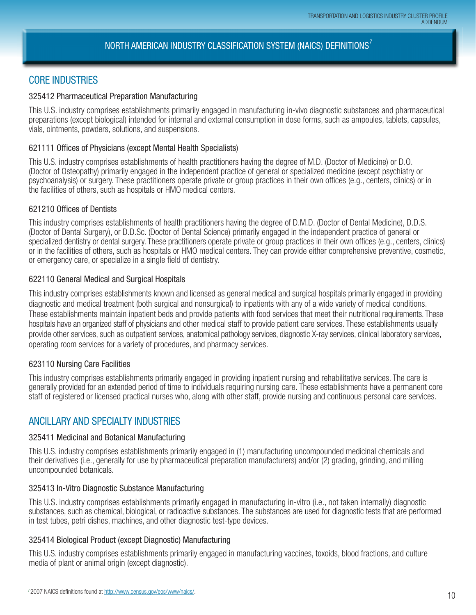#### NORTH AMERICAN INDUSTRY CLASSIFICATION SYSTEM (NAICS) DEFINITIONS<sup>7</sup>

### CORE INDUSTRIES

#### 325412 Pharmaceutical Preparation Manufacturing

This U.S. industry comprises establishments primarily engaged in manufacturing in-vivo diagnostic substances and pharmaceutical preparations (except biological) intended for internal and external consumption in dose forms, such as ampoules, tablets, capsules, vials, ointments, powders, solutions, and suspensions.

#### 621111 Offices of Physicians (except Mental Health Specialists)

This U.S. industry comprises establishments of health practitioners having the degree of M.D. (Doctor of Medicine) or D.O. (Doctor of Osteopathy) primarily engaged in the independent practice of general or specialized medicine (except psychiatry or psychoanalysis) or surgery. These practitioners operate private or group practices in their own offices (e.g., centers, clinics) or in the facilities of others, such as hospitals or HMO medical centers.

#### 621210 Offices of Dentists

This industry comprises establishments of health practitioners having the degree of D.M.D. (Doctor of Dental Medicine), D.D.S. (Doctor of Dental Surgery), or D.D.Sc. (Doctor of Dental Science) primarily engaged in the independent practice of general or specialized dentistry or dental surgery. These practitioners operate private or group practices in their own offices (e.g., centers, clinics) or in the facilities of others, such as hospitals or HMO medical centers. They can provide either comprehensive preventive, cosmetic, or emergency care, or specialize in a single field of dentistry.

#### 622110 General Medical and Surgical Hospitals

This industry comprises establishments known and licensed as general medical and surgical hospitals primarily engaged in providing diagnostic and medical treatment (both surgical and nonsurgical) to inpatients with any of a wide variety of medical conditions. These establishments maintain inpatient beds and provide patients with food services that meet their nutritional requirements. These hospitals have an organized staff of physicians and other medical staff to provide patient care services. These establishments usually provide other services, such as outpatient services, anatomical pathology services, diagnostic X-ray services, clinical laboratory services, operating room services for a variety of procedures, and pharmacy services.

#### 623110 Nursing Care Facilities

This industry comprises establishments primarily engaged in providing inpatient nursing and rehabilitative services. The care is generally provided for an extended period of time to individuals requiring nursing care. These establishments have a permanent core staff of registered or licensed practical nurses who, along with other staff, provide nursing and continuous personal care services.

### ANCILLARY AND SPECIALTY INDUSTRIES

#### 325411 Medicinal and Botanical Manufacturing

This U.S. industry comprises establishments primarily engaged in (1) manufacturing uncompounded medicinal chemicals and their derivatives (i.e., generally for use by pharmaceutical preparation manufacturers) and/or (2) grading, grinding, and milling uncompounded botanicals.

#### 325413 In-Vitro Diagnostic Substance Manufacturing

This U.S. industry comprises establishments primarily engaged in manufacturing in-vitro (i.e., not taken internally) diagnostic substances, such as chemical, biological, or radioactive substances. The substances are used for diagnostic tests that are performed in test tubes, petri dishes, machines, and other diagnostic test-type devices.

#### 325414 Biological Product (except Diagnostic) Manufacturing

This U.S. industry comprises establishments primarily engaged in manufacturing vaccines, toxoids, blood fractions, and culture media of plant or animal origin (except diagnostic).